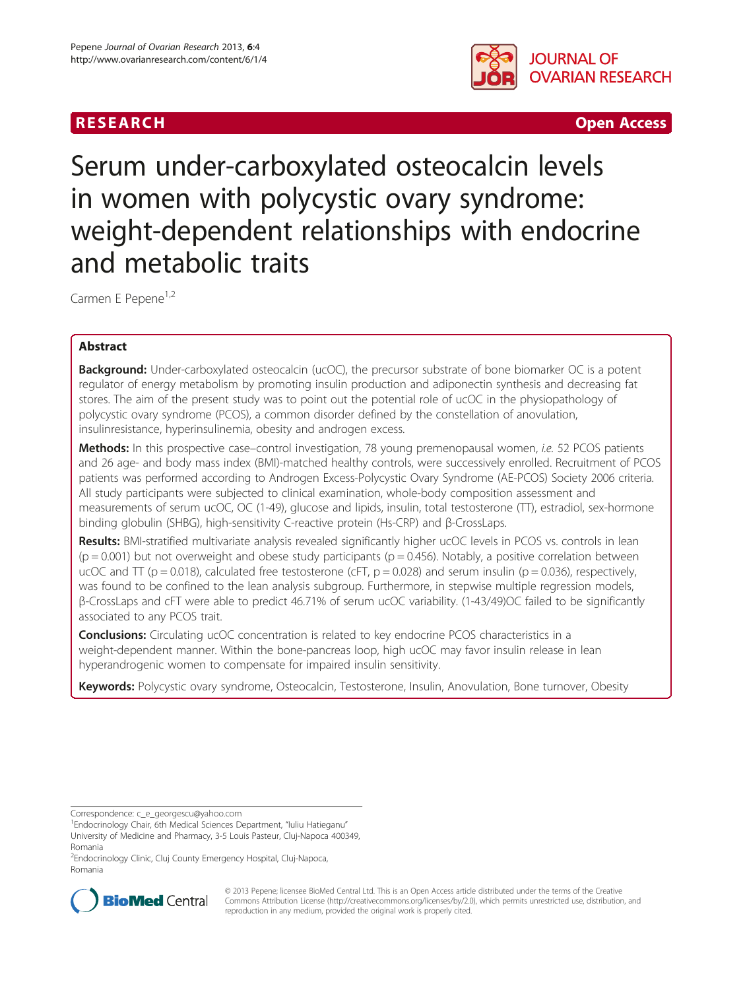



# Serum under-carboxylated osteocalcin levels in women with polycystic ovary syndrome: weight-dependent relationships with endocrine and metabolic traits

Carmen E Pepene<sup>1,2</sup>

## Abstract

Background: Under-carboxylated osteocalcin (ucOC), the precursor substrate of bone biomarker OC is a potent regulator of energy metabolism by promoting insulin production and adiponectin synthesis and decreasing fat stores. The aim of the present study was to point out the potential role of ucOC in the physiopathology of polycystic ovary syndrome (PCOS), a common disorder defined by the constellation of anovulation, insulinresistance, hyperinsulinemia, obesity and androgen excess.

Methods: In this prospective case-control investigation, 78 young premenopausal women, i.e. 52 PCOS patients and 26 age- and body mass index (BMI)-matched healthy controls, were successively enrolled. Recruitment of PCOS patients was performed according to Androgen Excess-Polycystic Ovary Syndrome (AE-PCOS) Society 2006 criteria. All study participants were subjected to clinical examination, whole-body composition assessment and measurements of serum ucOC, OC (1-49), glucose and lipids, insulin, total testosterone (TT), estradiol, sex-hormone binding globulin (SHBG), high-sensitivity C-reactive protein (Hs-CRP) and β-CrossLaps.

Results: BMI-stratified multivariate analysis revealed significantly higher ucOC levels in PCOS vs. controls in lean  $(p = 0.001)$  but not overweight and obese study participants  $(p = 0.456)$ . Notably, a positive correlation between ucOC and  $TT$  (p = 0.018), calculated free testosterone (cFT, p = 0.028) and serum insulin (p = 0.036), respectively, was found to be confined to the lean analysis subgroup. Furthermore, in stepwise multiple regression models, β-CrossLaps and cFT were able to predict 46.71% of serum ucOC variability. (1-43/49)OC failed to be significantly associated to any PCOS trait.

**Conclusions:** Circulating ucOC concentration is related to key endocrine PCOS characteristics in a weight-dependent manner. Within the bone-pancreas loop, high ucOC may favor insulin release in lean hyperandrogenic women to compensate for impaired insulin sensitivity.

Keywords: Polycystic ovary syndrome, Osteocalcin, Testosterone, Insulin, Anovulation, Bone turnover, Obesity

Correspondence: [c\\_e\\_georgescu@yahoo.com](mailto:c_e_georgescu@yahoo.com) <sup>1</sup>

<sup>2</sup>Endocrinology Clinic, Cluj County Emergency Hospital, Cluj-Napoca, Romania



© 2013 Pepene; licensee BioMed Central Ltd. This is an Open Access article distributed under the terms of the Creative Commons Attribution License [\(http://creativecommons.org/licenses/by/2.0\)](http://creativecommons.org/licenses/by/2.0), which permits unrestricted use, distribution, and reproduction in any medium, provided the original work is properly cited.

<sup>&</sup>lt;sup>1</sup> Endocrinology Chair, 6th Medical Sciences Department, "Iuliu Hatieganu" University of Medicine and Pharmacy, 3-5 Louis Pasteur, Cluj-Napoca 400349,

Romania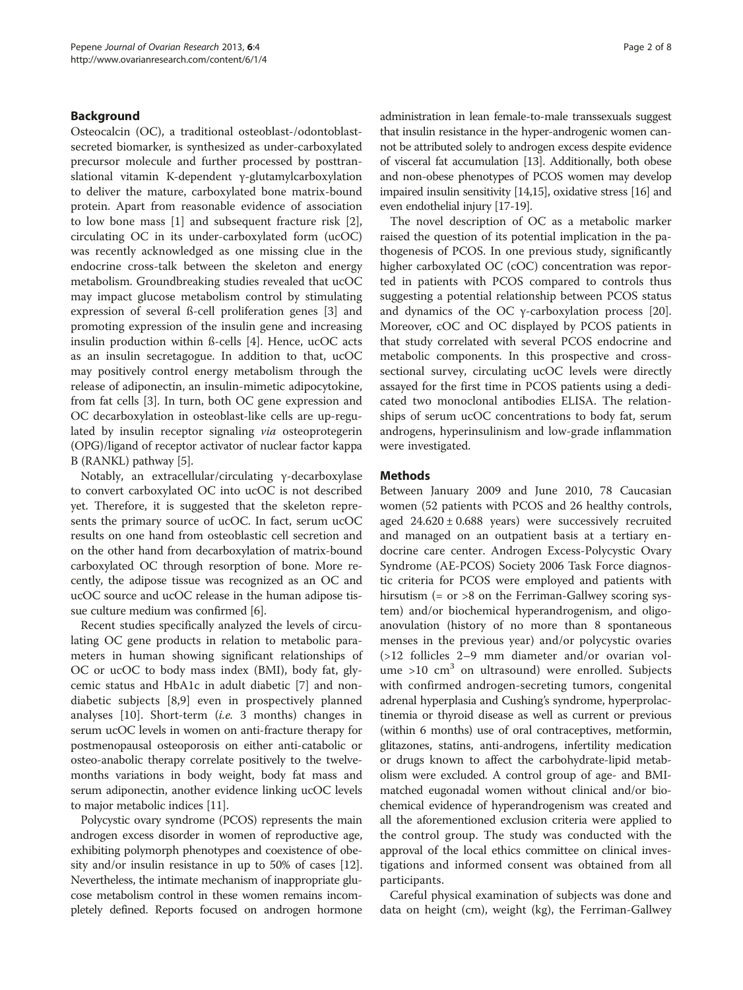## Background

Osteocalcin (OC), a traditional osteoblast-/odontoblastsecreted biomarker, is synthesized as under-carboxylated precursor molecule and further processed by posttranslational vitamin K-dependent γ-glutamylcarboxylation to deliver the mature, carboxylated bone matrix-bound protein. Apart from reasonable evidence of association to low bone mass [[1\]](#page-6-0) and subsequent fracture risk [\[2](#page-6-0)], circulating OC in its under-carboxylated form (ucOC) was recently acknowledged as one missing clue in the endocrine cross-talk between the skeleton and energy metabolism. Groundbreaking studies revealed that ucOC may impact glucose metabolism control by stimulating expression of several ß-cell proliferation genes [[3\]](#page-6-0) and promoting expression of the insulin gene and increasing insulin production within ß-cells [[4\]](#page-6-0). Hence, ucOC acts as an insulin secretagogue. In addition to that, ucOC may positively control energy metabolism through the release of adiponectin, an insulin-mimetic adipocytokine, from fat cells [\[3\]](#page-6-0). In turn, both OC gene expression and OC decarboxylation in osteoblast-like cells are up-regulated by insulin receptor signaling *via* osteoprotegerin (OPG)/ligand of receptor activator of nuclear factor kappa B (RANKL) pathway [\[5\]](#page-6-0).

Notably, an extracellular/circulating γ-decarboxylase to convert carboxylated OC into ucOC is not described yet. Therefore, it is suggested that the skeleton represents the primary source of ucOC. In fact, serum ucOC results on one hand from osteoblastic cell secretion and on the other hand from decarboxylation of matrix-bound carboxylated OC through resorption of bone. More recently, the adipose tissue was recognized as an OC and ucOC source and ucOC release in the human adipose tissue culture medium was confirmed [[6\]](#page-6-0).

Recent studies specifically analyzed the levels of circulating OC gene products in relation to metabolic parameters in human showing significant relationships of OC or ucOC to body mass index (BMI), body fat, glycemic status and HbA1c in adult diabetic [[7\]](#page-6-0) and nondiabetic subjects [\[8,9](#page-6-0)] even in prospectively planned analyses  $[10]$  $[10]$ . Short-term  $(i.e. 3$  months) changes in serum ucOC levels in women on anti-fracture therapy for postmenopausal osteoporosis on either anti-catabolic or osteo-anabolic therapy correlate positively to the twelvemonths variations in body weight, body fat mass and serum adiponectin, another evidence linking ucOC levels to major metabolic indices [[11](#page-6-0)].

Polycystic ovary syndrome (PCOS) represents the main androgen excess disorder in women of reproductive age, exhibiting polymorph phenotypes and coexistence of obesity and/or insulin resistance in up to 50% of cases [[12](#page-6-0)]. Nevertheless, the intimate mechanism of inappropriate glucose metabolism control in these women remains incompletely defined. Reports focused on androgen hormone administration in lean female-to-male transsexuals suggest that insulin resistance in the hyper-androgenic women cannot be attributed solely to androgen excess despite evidence of visceral fat accumulation [[13](#page-6-0)]. Additionally, both obese and non-obese phenotypes of PCOS women may develop impaired insulin sensitivity [\[14,15](#page-6-0)], oxidative stress [[16](#page-6-0)] and even endothelial injury [[17-19\]](#page-6-0).

The novel description of OC as a metabolic marker raised the question of its potential implication in the pathogenesis of PCOS. In one previous study, significantly higher carboxylated OC (cOC) concentration was reported in patients with PCOS compared to controls thus suggesting a potential relationship between PCOS status and dynamics of the OC γ-carboxylation process [\[20](#page-6-0)]. Moreover, cOC and OC displayed by PCOS patients in that study correlated with several PCOS endocrine and metabolic components. In this prospective and crosssectional survey, circulating ucOC levels were directly assayed for the first time in PCOS patients using a dedicated two monoclonal antibodies ELISA. The relationships of serum ucOC concentrations to body fat, serum androgens, hyperinsulinism and low-grade inflammation were investigated.

## **Methods**

Between January 2009 and June 2010, 78 Caucasian women (52 patients with PCOS and 26 healthy controls, aged  $24.620 \pm 0.688$  years) were successively recruited and managed on an outpatient basis at a tertiary endocrine care center. Androgen Excess-Polycystic Ovary Syndrome (AE-PCOS) Society 2006 Task Force diagnostic criteria for PCOS were employed and patients with hirsutism (= or >8 on the Ferriman-Gallwey scoring system) and/or biochemical hyperandrogenism, and oligoanovulation (history of no more than 8 spontaneous menses in the previous year) and/or polycystic ovaries (>12 follicles 2–9 mm diameter and/or ovarian volume  $>10$  cm<sup>3</sup> on ultrasound) were enrolled. Subjects with confirmed androgen-secreting tumors, congenital adrenal hyperplasia and Cushing's syndrome, hyperprolactinemia or thyroid disease as well as current or previous (within 6 months) use of oral contraceptives, metformin, glitazones, statins, anti-androgens, infertility medication or drugs known to affect the carbohydrate-lipid metabolism were excluded. A control group of age- and BMImatched eugonadal women without clinical and/or biochemical evidence of hyperandrogenism was created and all the aforementioned exclusion criteria were applied to the control group. The study was conducted with the approval of the local ethics committee on clinical investigations and informed consent was obtained from all participants.

Careful physical examination of subjects was done and data on height (cm), weight (kg), the Ferriman-Gallwey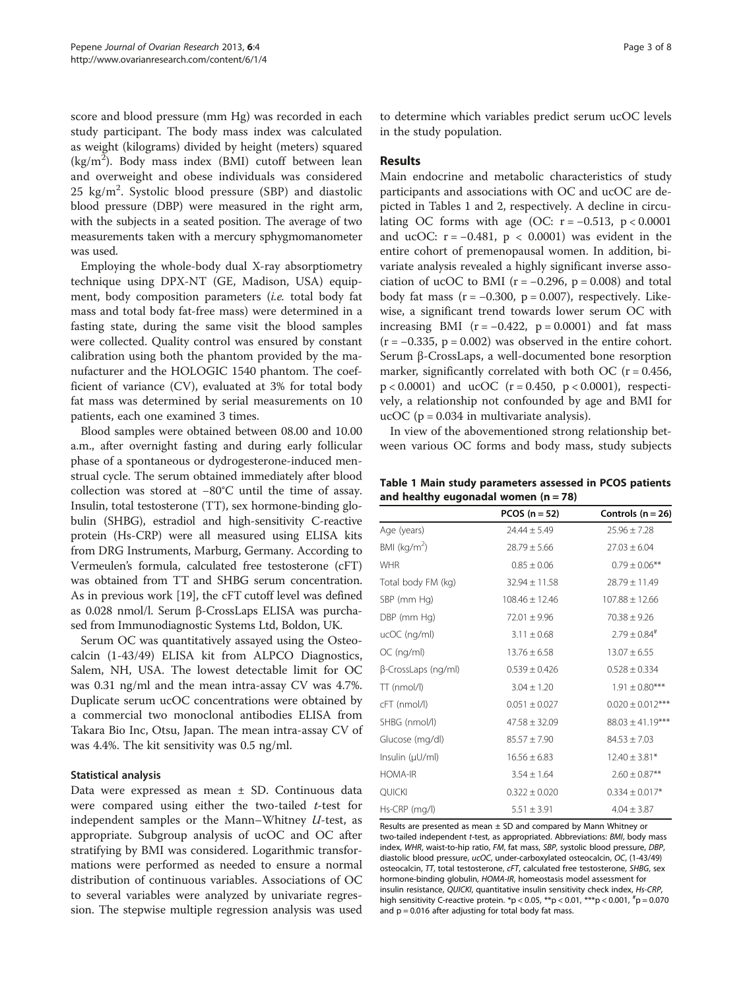score and blood pressure (mm Hg) was recorded in each study participant. The body mass index was calculated as weight (kilograms) divided by height (meters) squared  $(kg/m<sup>2</sup>)$ . Body mass index (BMI) cutoff between lean and overweight and obese individuals was considered  $25$  kg/m<sup>2</sup>. Systolic blood pressure (SBP) and diastolic blood pressure (DBP) were measured in the right arm, with the subjects in a seated position. The average of two measurements taken with a mercury sphygmomanometer was used.

Employing the whole-body dual X-ray absorptiometry technique using DPX-NT (GE, Madison, USA) equipment, body composition parameters *(i.e.* total body fat mass and total body fat-free mass) were determined in a fasting state, during the same visit the blood samples were collected. Quality control was ensured by constant calibration using both the phantom provided by the manufacturer and the HOLOGIC 1540 phantom. The coefficient of variance (CV), evaluated at 3% for total body fat mass was determined by serial measurements on 10 patients, each one examined 3 times.

Blood samples were obtained between 08.00 and 10.00 a.m., after overnight fasting and during early follicular phase of a spontaneous or dydrogesterone-induced menstrual cycle. The serum obtained immediately after blood collection was stored at −80°C until the time of assay. Insulin, total testosterone (TT), sex hormone-binding globulin (SHBG), estradiol and high-sensitivity C-reactive protein (Hs-CRP) were all measured using ELISA kits from DRG Instruments, Marburg, Germany. According to Vermeulen's formula, calculated free testosterone (cFT) was obtained from TT and SHBG serum concentration. As in previous work [\[19](#page-6-0)], the cFT cutoff level was defined as 0.028 nmol/l. Serum β-CrossLaps ELISA was purchased from Immunodiagnostic Systems Ltd, Boldon, UK.

Serum OC was quantitatively assayed using the Osteocalcin (1-43/49) ELISA kit from ALPCO Diagnostics, Salem, NH, USA. The lowest detectable limit for OC was 0.31 ng/ml and the mean intra-assay CV was 4.7%. Duplicate serum ucOC concentrations were obtained by a commercial two monoclonal antibodies ELISA from Takara Bio Inc, Otsu, Japan. The mean intra-assay CV of was 4.4%. The kit sensitivity was 0.5 ng/ml.

## Statistical analysis

Data were expressed as mean ± SD. Continuous data were compared using either the two-tailed  $t$ -test for independent samples or the Mann–Whitney  $U$ -test, as appropriate. Subgroup analysis of ucOC and OC after stratifying by BMI was considered. Logarithmic transformations were performed as needed to ensure a normal distribution of continuous variables. Associations of OC to several variables were analyzed by univariate regression. The stepwise multiple regression analysis was used to determine which variables predict serum ucOC levels in the study population.

## Results

Main endocrine and metabolic characteristics of study participants and associations with OC and ucOC are depicted in Tables 1 and [2,](#page-3-0) respectively. A decline in circulating OC forms with age (OC:  $r = -0.513$ ,  $p < 0.0001$ and ucOC:  $r = -0.481$ ,  $p < 0.0001$ ) was evident in the entire cohort of premenopausal women. In addition, bivariate analysis revealed a highly significant inverse association of ucOC to BMI ( $r = -0.296$ ,  $p = 0.008$ ) and total body fat mass  $(r = -0.300, p = 0.007)$ , respectively. Likewise, a significant trend towards lower serum OC with increasing BMI ( $r = -0.422$ ,  $p = 0.0001$ ) and fat mass  $(r = -0.335, p = 0.002)$  was observed in the entire cohort. Serum β-CrossLaps, a well-documented bone resorption marker, significantly correlated with both OC ( $r = 0.456$ ,  $p < 0.0001$ ) and ucOC (r = 0.450, p < 0.0001), respectively, a relationship not confounded by age and BMI for ucOC ( $p = 0.034$  in multivariate analysis).

In view of the abovementioned strong relationship between various OC forms and body mass, study subjects

Table 1 Main study parameters assessed in PCOS patients and healthy eugonadal women  $(n = 78)$ 

|                          | PCOS $(n = 52)$    | Controls $(n = 26)$<br>$24.44 \pm 5.49$<br>$25.96 + 7.28$ |  |
|--------------------------|--------------------|-----------------------------------------------------------|--|
| Age (years)              |                    |                                                           |  |
| BMI (kg/m <sup>2</sup> ) | $28.79 \pm 5.66$   | $27.03 \pm 6.04$                                          |  |
| <b>WHR</b>               | $0.85 \pm 0.06$    | $0.79 \pm 0.06$ **                                        |  |
| Total body FM (kg)       | $32.94 \pm 11.58$  | $28.79 \pm 11.49$                                         |  |
| SBP (mm Hg)              | $108.46 \pm 12.46$ | $107.88 \pm 12.66$                                        |  |
| DBP (mm Hg)              | $72.01 \pm 9.96$   | $70.38 \pm 9.26$                                          |  |
| ucOC (ng/ml)             | $3.11 \pm 0.68$    | $2.79 \pm 0.84$ <sup>#</sup>                              |  |
| OC (ng/ml)               | $13.76 \pm 6.58$   | $13.07 \pm 6.55$                                          |  |
| β-CrossLaps (ng/ml)      | $0.539 \pm 0.426$  | $0.528 \pm 0.334$                                         |  |
| TT (nmol/l)              | $3.04 \pm 1.20$    | $1.91 \pm 0.80***$                                        |  |
| cFT (nmol/l)             | $0.051 \pm 0.027$  | $0.020 \pm 0.012***$                                      |  |
| SHBG (nmol/l)            | $47.58 \pm 32.09$  | $88.03 \pm 41.19***$                                      |  |
| Glucose (mg/dl)          | $85.57 \pm 7.90$   | $84.53 \pm 7.03$                                          |  |
| Insulin (µU/ml)          | $16.56 \pm 6.83$   | $12.40 \pm 3.81*$                                         |  |
| <b>HOMA-IR</b>           | $3.54 \pm 1.64$    | $2.60 \pm 0.87$ **                                        |  |
| <b>QUICKI</b>            | $0.322 \pm 0.020$  | $0.334 \pm 0.017*$                                        |  |
| Hs-CRP (mg/l)            | $5.51 \pm 3.91$    | $4.04 \pm 3.87$                                           |  |

Results are presented as mean  $\pm$  SD and compared by Mann Whitney or two-tailed independent t-test, as appropriated. Abbreviations: BMI, body mass index, WHR, waist-to-hip ratio, FM, fat mass, SBP, systolic blood pressure, DBP, diastolic blood pressure, ucOC, under-carboxylated osteocalcin, OC, (1-43/49) osteocalcin, TT, total testosterone, cFT, calculated free testosterone, SHBG, sex hormone-binding globulin, HOMA-IR, homeostasis model assessment for insulin resistance, QUICKI, quantitative insulin sensitivity check index, Hs-CRP, high sensitivity C-reactive protein.  $^{*}p < 0.05$ ,  $^{**}p < 0.01$ ,  $^{***}p < 0.001$ ,  $^{*}p = 0.070$ and  $p = 0.016$  after adjusting for total body fat mass.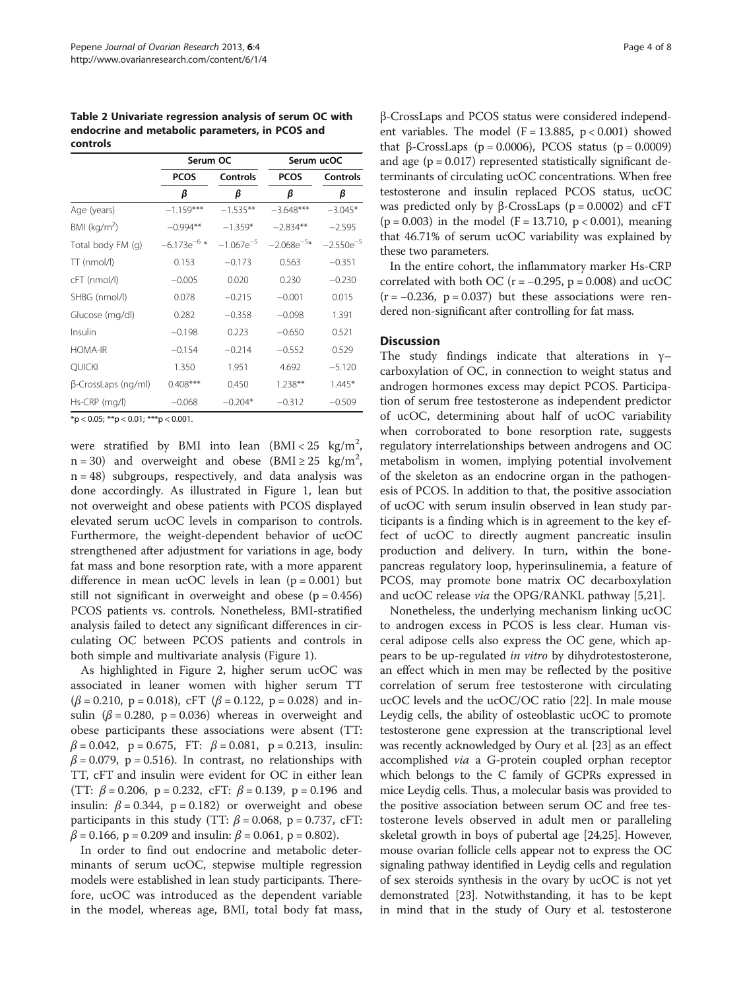<span id="page-3-0"></span>Table 2 Univariate regression analysis of serum OC with endocrine and metabolic parameters, in PCOS and controls

|                            | Serum OC         |                | Serum ucOC      |                 |
|----------------------------|------------------|----------------|-----------------|-----------------|
|                            | <b>PCOS</b>      | Controls       | <b>PCOS</b>     | <b>Controls</b> |
|                            | β                | β              | β               | β               |
| Age (years)                | $-1.159***$      | $-1.535**$     | $-3.648***$     | $-3.045*$       |
| BMI ( $kg/m2$ )            | $-0.994**$       | $-1.359*$      | $-2.834**$      | $-2.595$        |
| Total body FM (q)          | $-6.173e^{-6}$ * | $-1.067e^{-5}$ | $-2.068e^{-5*}$ | $-2.550e^{-5}$  |
| $TT$ (nmol/l)              | 0.153            | $-0.173$       | 0.563           | $-0.351$        |
| cFT (nmol/l)               | $-0.005$         | 0.020          | 0.230           | $-0.230$        |
| SHBG (nmol/l)              | 0.078            | $-0.215$       | $-0.001$        | 0.015           |
| Glucose (mg/dl)            | 0.282            | $-0.358$       | $-0.098$        | 1.391           |
| Insulin                    | $-0.198$         | 0.223          | $-0.650$        | 0.521           |
| <b>HOMA-IR</b>             | $-0.154$         | $-0.214$       | $-0.552$        | 0.529           |
| <b>OUICKI</b>              | 1.350            | 1.951          | 4.692           | $-5.120$        |
| $\beta$ -CrossLaps (ng/ml) | $0.408***$       | 0.450          | $1.238**$       | $1.445*$        |
| Hs-CRP (mg/l)              | $-0.068$         | $-0.204*$      | $-0.312$        | $-0.509$        |

 $*$ p < 0.05;  $**$ p < 0.01;  $***$ p < 0.001.

were stratified by BMI into lean  $(BMI < 25 \text{ kg/m}^2,$  $n = 30$ ) and overweight and obese (BMI  $\geq 25$  kg/m<sup>2</sup>, n = 48) subgroups, respectively, and data analysis was done accordingly. As illustrated in Figure [1,](#page-4-0) lean but not overweight and obese patients with PCOS displayed elevated serum ucOC levels in comparison to controls. Furthermore, the weight-dependent behavior of ucOC strengthened after adjustment for variations in age, body fat mass and bone resorption rate, with a more apparent difference in mean ucOC levels in lean  $(p = 0.001)$  but still not significant in overweight and obese  $(p = 0.456)$ PCOS patients vs. controls. Nonetheless, BMI-stratified analysis failed to detect any significant differences in circulating OC between PCOS patients and controls in both simple and multivariate analysis (Figure [1\)](#page-4-0).

As highlighted in Figure [2,](#page-5-0) higher serum ucOC was associated in leaner women with higher serum TT  $(\beta = 0.210, p = 0.018)$ , cFT ( $\beta = 0.122$ , p = 0.028) and insulin ( $\beta$  = 0.280, p = 0.036) whereas in overweight and obese participants these associations were absent (TT:  $\beta = 0.042$ , p = 0.675, FT:  $\beta = 0.081$ , p = 0.213, insulin:  $\beta$  = 0.079, p = 0.516). In contrast, no relationships with TT, cFT and insulin were evident for OC in either lean (TT:  $\beta$  = 0.206, p = 0.232, cFT:  $\beta$  = 0.139, p = 0.196 and insulin:  $\beta = 0.344$ , p = 0.182) or overweight and obese participants in this study (TT:  $\beta$  = 0.068, p = 0.737, cFT:  $β = 0.166$ ,  $p = 0.209$  and insulin:  $β = 0.061$ ,  $p = 0.802$ ).

In order to find out endocrine and metabolic determinants of serum ucOC, stepwise multiple regression models were established in lean study participants. Therefore, ucOC was introduced as the dependent variable in the model, whereas age, BMI, total body fat mass,

β-CrossLaps and PCOS status were considered independent variables. The model (F = 13.885,  $p < 0.001$ ) showed that β-CrossLaps ( $p = 0.0006$ ), PCOS status ( $p = 0.0009$ ) and age  $(p = 0.017)$  represented statistically significant determinants of circulating ucOC concentrations. When free testosterone and insulin replaced PCOS status, ucOC was predicted only by β-CrossLaps ( $p = 0.0002$ ) and cFT  $(p = 0.003)$  in the model  $(F = 13.710, p < 0.001)$ , meaning that 46.71% of serum ucOC variability was explained by these two parameters.

In the entire cohort, the inflammatory marker Hs-CRP correlated with both OC ( $r = -0.295$ ,  $p = 0.008$ ) and ucOC  $(r = -0.236, p = 0.037)$  but these associations were rendered non-significant after controlling for fat mass.

#### **Discussion**

The study findings indicate that alterations in  $\gamma$ – carboxylation of OC, in connection to weight status and androgen hormones excess may depict PCOS. Participation of serum free testosterone as independent predictor of ucOC, determining about half of ucOC variability when corroborated to bone resorption rate, suggests regulatory interrelationships between androgens and OC metabolism in women, implying potential involvement of the skeleton as an endocrine organ in the pathogenesis of PCOS. In addition to that, the positive association of ucOC with serum insulin observed in lean study participants is a finding which is in agreement to the key effect of ucOC to directly augment pancreatic insulin production and delivery. In turn, within the bonepancreas regulatory loop, hyperinsulinemia, a feature of PCOS, may promote bone matrix OC decarboxylation and ucOC release via the OPG/RANKL pathway [\[5,21](#page-6-0)].

Nonetheless, the underlying mechanism linking ucOC to androgen excess in PCOS is less clear. Human visceral adipose cells also express the OC gene, which appears to be up-regulated in vitro by dihydrotestosterone, an effect which in men may be reflected by the positive correlation of serum free testosterone with circulating ucOC levels and the ucOC/OC ratio [[22\]](#page-6-0). In male mouse Leydig cells, the ability of osteoblastic ucOC to promote testosterone gene expression at the transcriptional level was recently acknowledged by Oury et al. [[23](#page-6-0)] as an effect accomplished via a G-protein coupled orphan receptor which belongs to the C family of GCPRs expressed in mice Leydig cells. Thus, a molecular basis was provided to the positive association between serum OC and free testosterone levels observed in adult men or paralleling skeletal growth in boys of pubertal age [\[24,25](#page-6-0)]. However, mouse ovarian follicle cells appear not to express the OC signaling pathway identified in Leydig cells and regulation of sex steroids synthesis in the ovary by ucOC is not yet demonstrated [\[23\]](#page-6-0). Notwithstanding, it has to be kept in mind that in the study of Oury et al. testosterone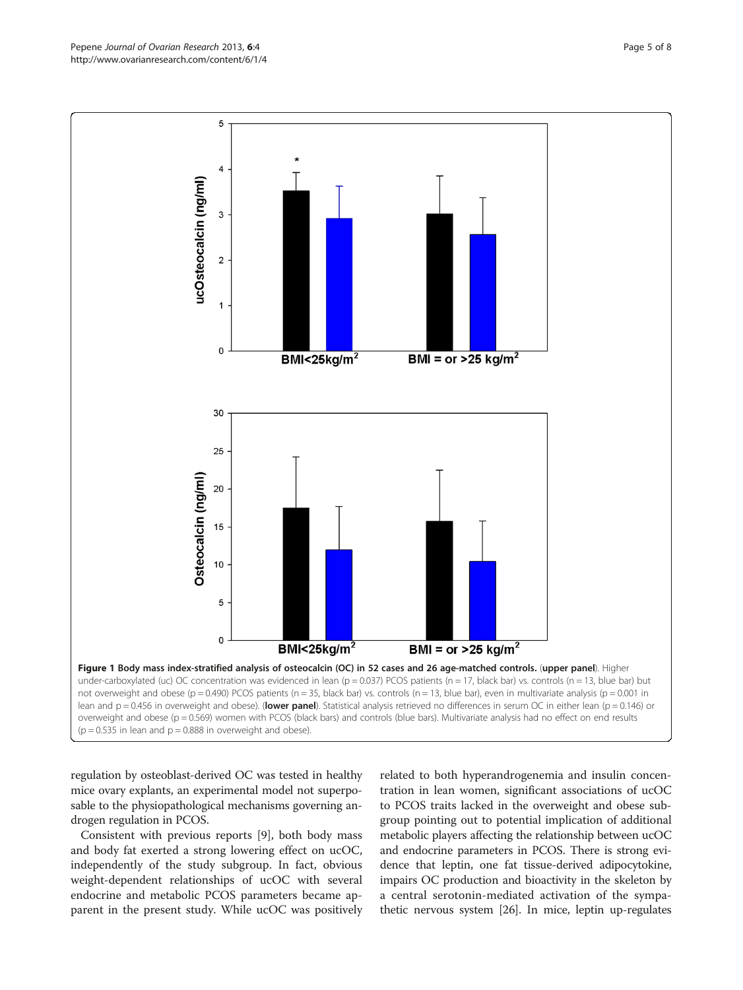regulation by osteoblast-derived OC was tested in healthy mice ovary explants, an experimental model not superposable to the physiopathological mechanisms governing androgen regulation in PCOS.

Consistent with previous reports [\[9](#page-6-0)], both body mass and body fat exerted a strong lowering effect on ucOC, independently of the study subgroup. In fact, obvious weight-dependent relationships of ucOC with several endocrine and metabolic PCOS parameters became apparent in the present study. While ucOC was positively related to both hyperandrogenemia and insulin concentration in lean women, significant associations of ucOC to PCOS traits lacked in the overweight and obese subgroup pointing out to potential implication of additional metabolic players affecting the relationship between ucOC and endocrine parameters in PCOS. There is strong evidence that leptin, one fat tissue-derived adipocytokine, impairs OC production and bioactivity in the skeleton by a central serotonin-mediated activation of the sympathetic nervous system [\[26\]](#page-6-0). In mice, leptin up-regulates

<span id="page-4-0"></span>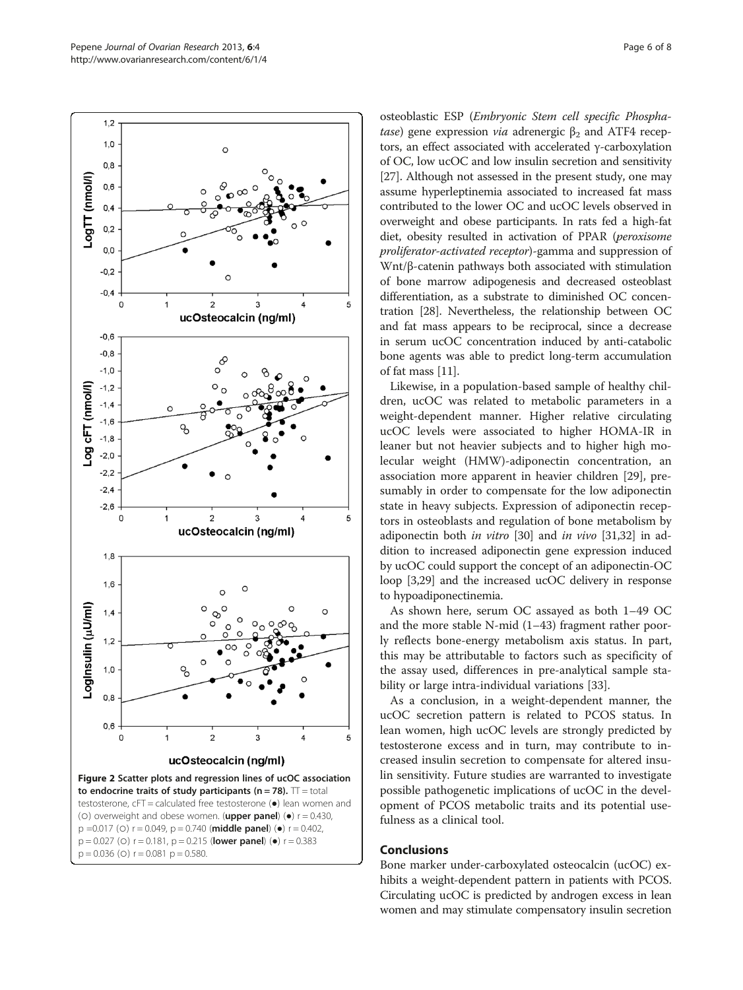<span id="page-5-0"></span>

osteoblastic ESP (Embryonic Stem cell specific Phosphatase) gene expression *via* adrenergic  $β_2$  and ATF4 receptors, an effect associated with accelerated γ-carboxylation of OC, low ucOC and low insulin secretion and sensitivity [[27](#page-6-0)]. Although not assessed in the present study, one may assume hyperleptinemia associated to increased fat mass contributed to the lower OC and ucOC levels observed in overweight and obese participants. In rats fed a high-fat diet, obesity resulted in activation of PPAR (peroxisome proliferator-activated receptor)-gamma and suppression of Wnt/β-catenin pathways both associated with stimulation of bone marrow adipogenesis and decreased osteoblast differentiation, as a substrate to diminished OC concentration [[28](#page-6-0)]. Nevertheless, the relationship between OC and fat mass appears to be reciprocal, since a decrease in serum ucOC concentration induced by anti-catabolic bone agents was able to predict long-term accumulation of fat mass [[11](#page-6-0)].

Likewise, in a population-based sample of healthy children, ucOC was related to metabolic parameters in a weight-dependent manner. Higher relative circulating ucOC levels were associated to higher HOMA-IR in leaner but not heavier subjects and to higher high molecular weight (HMW)-adiponectin concentration, an association more apparent in heavier children [[29\]](#page-6-0), presumably in order to compensate for the low adiponectin state in heavy subjects. Expression of adiponectin receptors in osteoblasts and regulation of bone metabolism by adiponectin both in vitro [\[30\]](#page-6-0) and in vivo [\[31,32\]](#page-7-0) in addition to increased adiponectin gene expression induced by ucOC could support the concept of an adiponectin-OC loop [\[3,29\]](#page-6-0) and the increased ucOC delivery in response to hypoadiponectinemia.

As shown here, serum OC assayed as both 1–49 OC and the more stable N-mid (1–43) fragment rather poorly reflects bone-energy metabolism axis status. In part, this may be attributable to factors such as specificity of the assay used, differences in pre-analytical sample stability or large intra-individual variations [\[33](#page-7-0)].

As a conclusion, in a weight-dependent manner, the ucOC secretion pattern is related to PCOS status. In lean women, high ucOC levels are strongly predicted by testosterone excess and in turn, may contribute to increased insulin secretion to compensate for altered insulin sensitivity. Future studies are warranted to investigate possible pathogenetic implications of ucOC in the development of PCOS metabolic traits and its potential usefulness as a clinical tool.

## Conclusions

Bone marker under-carboxylated osteocalcin (ucOC) exhibits a weight-dependent pattern in patients with PCOS. Circulating ucOC is predicted by androgen excess in lean women and may stimulate compensatory insulin secretion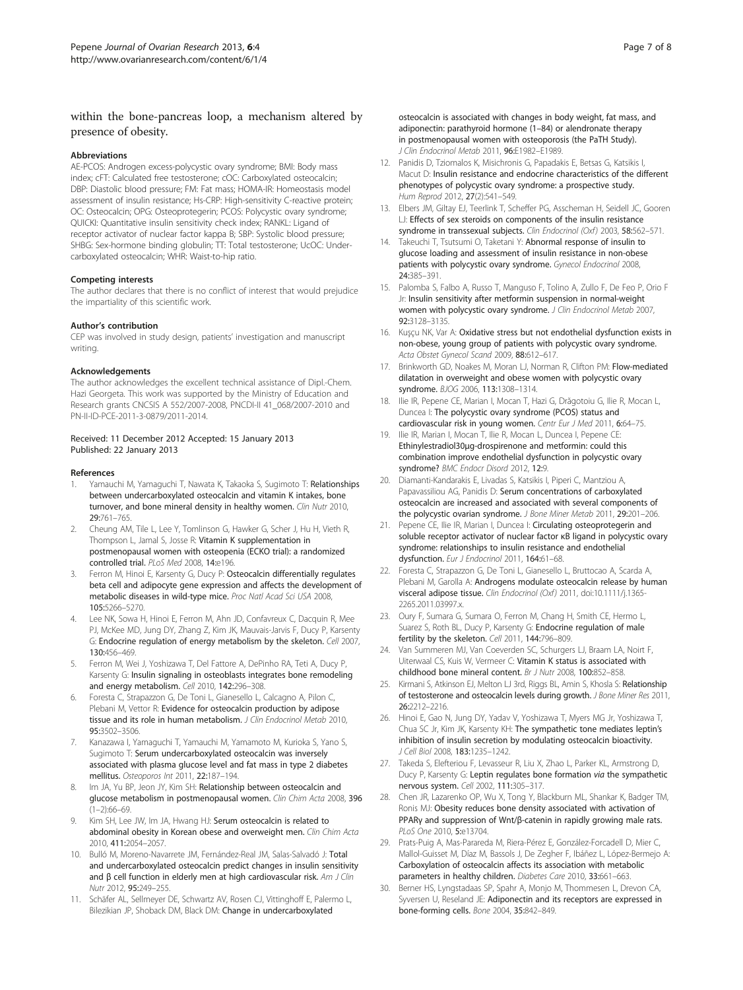## <span id="page-6-0"></span>within the bone-pancreas loop, a mechanism altered by presence of obesity.

#### Abbreviations

AE-PCOS: Androgen excess-polycystic ovary syndrome; BMI: Body mass index; cFT: Calculated free testosterone; cOC: Carboxylated osteocalcin; DBP: Diastolic blood pressure; FM: Fat mass; HOMA-IR: Homeostasis model assessment of insulin resistance; Hs-CRP: High-sensitivity C-reactive protein; OC: Osteocalcin; OPG: Osteoprotegerin; PCOS: Polycystic ovary syndrome; QUICKI: Quantitative insulin sensitivity check index; RANKL: Ligand of receptor activator of nuclear factor kappa B; SBP: Systolic blood pressure; SHBG: Sex-hormone binding globulin; TT: Total testosterone; UcOC: Undercarboxylated osteocalcin; WHR: Waist-to-hip ratio.

#### Competing interests

The author declares that there is no conflict of interest that would prejudice the impartiality of this scientific work.

#### Author's contribution

CEP was involved in study design, patients' investigation and manuscript writing.

#### Acknowledgements

The author acknowledges the excellent technical assistance of Dipl.-Chem. Hazi Georgeta. This work was supported by the Ministry of Education and Research grants CNCSIS A 552/2007-2008, PNCDI-II 41\_068/2007-2010 and PN-II-ID-PCE-2011-3-0879/2011-2014.

#### Received: 11 December 2012 Accepted: 15 January 2013 Published: 22 January 2013

#### References

- 1. Yamauchi M, Yamaguchi T, Nawata K, Takaoka S, Sugimoto T: Relationships between undercarboxylated osteocalcin and vitamin K intakes, bone turnover, and bone mineral density in healthy women. Clin Nutr 2010, 29:761–765.
- 2. Cheung AM, Tile L, Lee Y, Tomlinson G, Hawker G, Scher J, Hu H, Vieth R, Thompson L, Jamal S, Josse R: Vitamin K supplementation in postmenopausal women with osteopenia (ECKO trial): a randomized controlled trial. PLoS Med 2008, 14:e196.
- Ferron M, Hinoi E, Karsenty G, Ducy P: Osteocalcin differentially regulates beta cell and adipocyte gene expression and affects the development of metabolic diseases in wild-type mice. Proc Natl Acad Sci USA 2008, 105:5266–5270.
- Lee NK, Sowa H, Hinoi E, Ferron M, Ahn JD, Confavreux C, Dacquin R, Mee PJ, McKee MD, Jung DY, Zhang Z, Kim JK, Mauvais-Jarvis F, Ducy P, Karsenty G: Endocrine regulation of energy metabolism by the skeleton. Cell 2007, 130:456–469.
- 5. Ferron M, Wei J, Yoshizawa T, Del Fattore A, DePinho RA, Teti A, Ducy P, Karsenty G: Insulin signaling in osteoblasts integrates bone remodeling and energy metabolism. Cell 2010, 142:296–308.
- 6. Foresta C, Strapazzon G, De Toni L, Gianesello L, Calcagno A, Pilon C, Plebani M, Vettor R: Evidence for osteocalcin production by adipose tissue and its role in human metabolism. J Clin Endocrinol Metab 2010, 95:3502–3506.
- 7. Kanazawa I, Yamaguchi T, Yamauchi M, Yamamoto M, Kurioka S, Yano S, Sugimoto T: Serum undercarboxylated osteocalcin was inversely associated with plasma glucose level and fat mass in type 2 diabetes mellitus. Osteoporos Int 2011, 22:187–194.
- 8. Im JA, Yu BP, Jeon JY, Kim SH: Relationship between osteocalcin and glucose metabolism in postmenopausal women. Clin Chim Acta 2008, 396  $(1-2):66-69$ .
- 9. Kim SH, Lee JW, Im JA, Hwang HJ: Serum osteocalcin is related to abdominal obesity in Korean obese and overweight men. Clin Chim Acta 2010, 411:2054–2057.
- 10. Bulló M, Moreno-Navarrete JM, Fernández-Real JM, Salas-Salvadó J: Total and undercarboxylated osteocalcin predict changes in insulin sensitivity and β cell function in elderly men at high cardiovascular risk. Am J Clin Nutr 2012, 95:249–255.
- 11. Schäfer AL, Sellmeyer DE, Schwartz AV, Rosen CJ, Vittinghoff E, Palermo L, Bilezikian JP, Shoback DM, Black DM: Change in undercarboxylated

osteocalcin is associated with changes in body weight, fat mass, and adiponectin: parathyroid hormone (1–84) or alendronate therapy in postmenopausal women with osteoporosis (the PaTH Study). J Clin Endocrinol Metab 2011, 96:E1982–E1989.

- 12. Panidis D, Tziomalos K, Misichronis G, Papadakis E, Betsas G, Katsikis I, Macut D: Insulin resistance and endocrine characteristics of the different phenotypes of polycystic ovary syndrome: a prospective study. Hum Reprod 2012, 27(2):541-549.
- 13. Elbers JM, Giltay EJ, Teerlink T, Scheffer PG, Asscheman H, Seidell JC, Gooren LJ: Effects of sex steroids on components of the insulin resistance syndrome in transsexual subjects. Clin Endocrinol (Oxf) 2003, 58:562-571.
- 14. Takeuchi T, Tsutsumi O, Taketani Y: Abnormal response of insulin to glucose loading and assessment of insulin resistance in non-obese patients with polycystic ovary syndrome. Gynecol Endocrinol 2008, 24:385–391.
- 15. Palomba S, Falbo A, Russo T, Manguso F, Tolino A, Zullo F, De Feo P, Orio F Jr: Insulin sensitivity after metformin suspension in normal-weight women with polycystic ovary syndrome. J Clin Endocrinol Metab 2007, 92:3128–3135.
- 16. Kuşçu NK, Var A: Oxidative stress but not endothelial dysfunction exists in non-obese, young group of patients with polycystic ovary syndrome. Acta Obstet Gynecol Scand 2009, 88:612–617.
- 17. Brinkworth GD, Noakes M, Moran LJ, Norman R, Clifton PM: Flow-mediated dilatation in overweight and obese women with polycystic ovary syndrome. BJOG 2006, 113:1308–1314.
- 18. Ilie IR, Pepene CE, Marian I, Mocan T, Hazi G, Drăgotoiu G, Ilie R, Mocan L, Duncea I: The polycystic ovary syndrome (PCOS) status and cardiovascular risk in young women. Centr Eur J Med 2011, 6:64–75.
- 19. Ilie IR, Marian I, Mocan T, Ilie R, Mocan L, Duncea I, Pepene CE: Ethinylestradiol30μg-drospirenone and metformin: could this combination improve endothelial dysfunction in polycystic ovary syndrome? BMC Endocr Disord 2012, 12:9.
- 20. Diamanti-Kandarakis E, Livadas S, Katsikis I, Piperi C, Mantziou A, Papavassiliou AG, Panidis D: Serum concentrations of carboxylated osteocalcin are increased and associated with several components of the polycystic ovarian syndrome. J Bone Miner Metab 2011, 29:201-206.
- 21. Pepene CE, Ilie IR, Marian I, Duncea I: Circulating osteoprotegerin and soluble receptor activator of nuclear factor κB ligand in polycystic ovary syndrome: relationships to insulin resistance and endothelial dysfunction. Fur J Endocrinol 2011, 164:61-68.
- 22. Foresta C, Strapazzon G, De Toni L, Gianesello L, Bruttocao A, Scarda A, Plebani M, Garolla A: Androgens modulate osteocalcin release by human visceral adipose tissue. Clin Endocrinol (Oxf) 2011, doi[:10.1111/j.1365-](http://dx.doi.org/10.1111/j.1365-2265.2011.03997.x) [2265.2011.03997.x.](http://dx.doi.org/10.1111/j.1365-2265.2011.03997.x)
- 23. Oury F, Sumara G, Sumara O, Ferron M, Chang H, Smith CE, Hermo L, Suarez S, Roth BL, Ducy P, Karsenty G: Endocrine regulation of male fertility by the skeleton. Cell 2011, 144:796-809.
- 24. Van Summeren MJ, Van Coeverden SC, Schurgers LJ, Braam LA, Noirt F, Uiterwaal CS, Kuis W, Vermeer C: Vitamin K status is associated with childhood bone mineral content. Br J Nutr 2008, 100:852–858.
- 25. Kirmani S, Atkinson EJ, Melton LJ 3rd, Riggs BL, Amin S, Khosla S: Relationship of testosterone and osteocalcin levels during growth. J Bone Miner Res 2011, 26:2212–2216.
- 26. Hinoi E, Gao N, Jung DY, Yadav V, Yoshizawa T, Myers MG Jr, Yoshizawa T, Chua SC Jr, Kim JK, Karsenty KH: The sympathetic tone mediates leptin's inhibition of insulin secretion by modulating osteocalcin bioactivity. J Cell Biol 2008, 183:1235–1242.
- 27. Takeda S, Elefteriou F, Levasseur R, Liu X, Zhao L, Parker KL, Armstrong D, Ducy P, Karsenty G: Leptin regulates bone formation via the sympathetic nervous system. Cell 2002, 111:305–317.
- 28. Chen JR, Lazarenko OP, Wu X, Tong Y, Blackburn ML, Shankar K, Badger TM, Ronis MJ: Obesity reduces bone density associated with activation of PPARγ and suppression of Wnt/β-catenin in rapidly growing male rats. PLoS One 2010, 5:e13704.
- 29. Prats-Puig A, Mas-Parareda M, Riera-Pérez E, González-Forcadell D, Mier C, Mallol-Guisset M, Díaz M, Bassols J, De Zegher F, Ibáñez L, López-Bermejo A: Carboxylation of osteocalcin affects its association with metabolic parameters in healthy children. Diabetes Care 2010, 33:661-663.
- 30. Berner HS, Lyngstadaas SP, Spahr A, Monjo M, Thommesen L, Drevon CA, Syversen U, Reseland JE: Adiponectin and its receptors are expressed in bone-forming cells. Bone 2004, 35:842–849.